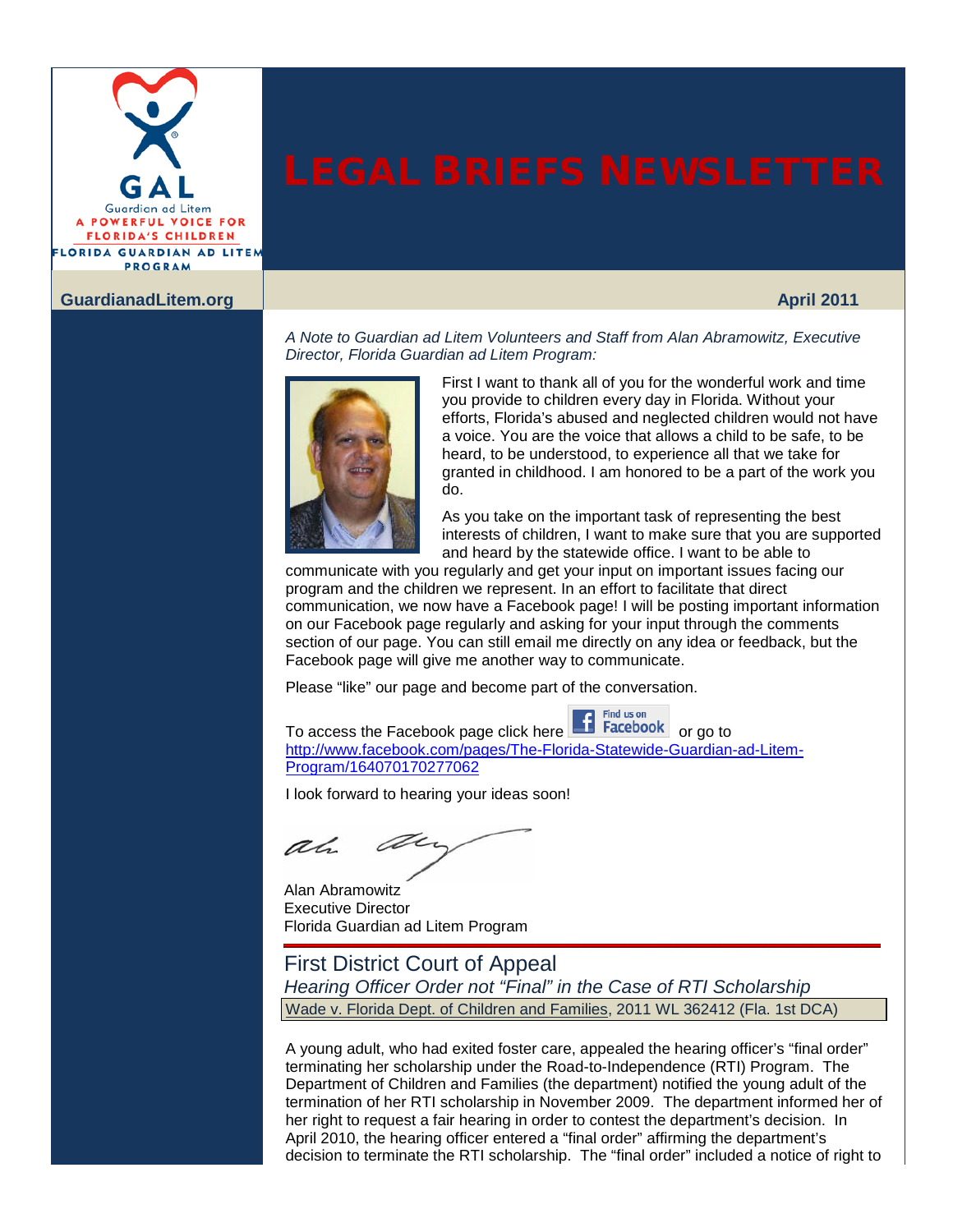

### **[GuardianadLitem.org](www.guardianadlitem.org) April 2011**

*A Note to Guardian ad Litem Volunteers and Staff from Alan Abramowitz, Executive Director, Florida Guardian ad Litem Program:*



First I want to thank all of you for the wonderful work and time you provide to children every day in Florida. Without your efforts, Florida's abused and neglected children would not have a voice. You are the voice that allows a child to be safe, to be heard, to be understood, to experience all that we take for granted in childhood. I am honored to be a part of the work you do.

As you take on the important task of representing the best interests of children, I want to make sure that you are supported and heard by the statewide office. I want to be able to

communicate with you regularly and get your input on important issues facing our program and the children we represent. In an effort to facilitate that direct communication, we now have a Facebook page! I will be posting important information on our Facebook page regularly and asking for your input through the comments section of our page. You can still email me directly on any idea or feedback, but the Facebook page will give me another way to communicate.

Find us on

Please "like" our page and become part of the conversation.

To acc[e](http://www.facebook.com/pages/The-Florida-Statewide-Guardian-ad-Litem-Program/164070170277062)ss the Facebook page click here **or go to contain the Facebook** or go to [http://www.facebook.com/pages/The-Florida-Statewide-Guardian-ad-Litem-](http://www.facebook.com/pages/The-Florida-Statewide-Guardian-ad-Litem-Program/164070170277062)[Program/164070170277062](http://www.facebook.com/pages/The-Florida-Statewide-Guardian-ad-Litem-Program/164070170277062)

I look forward to hearing your ideas soon!

ar ah

Alan Abramowitz Executive Director Florida Guardian ad Litem Program

First District Court of Appeal *Hearing Officer Order not "Final" in the Case of RTI Scholarship* Wade v. Florida Dept. of Children and Families, 2011 WL 362412 (Fla. 1st DCA)

A young adult, who had exited foster care, appealed the hearing officer's "final order" terminating her scholarship under the Road-to-Independence (RTI) Program. The Department of Children and Families (the department) notified the young adult of the termination of her RTI scholarship in November 2009. The department informed her of her right to request a fair hearing in order to contest the department's decision. In April 2010, the hearing officer entered a "final order" affirming the department's decision to terminate the RTI scholarship. The "final order" included a notice of right to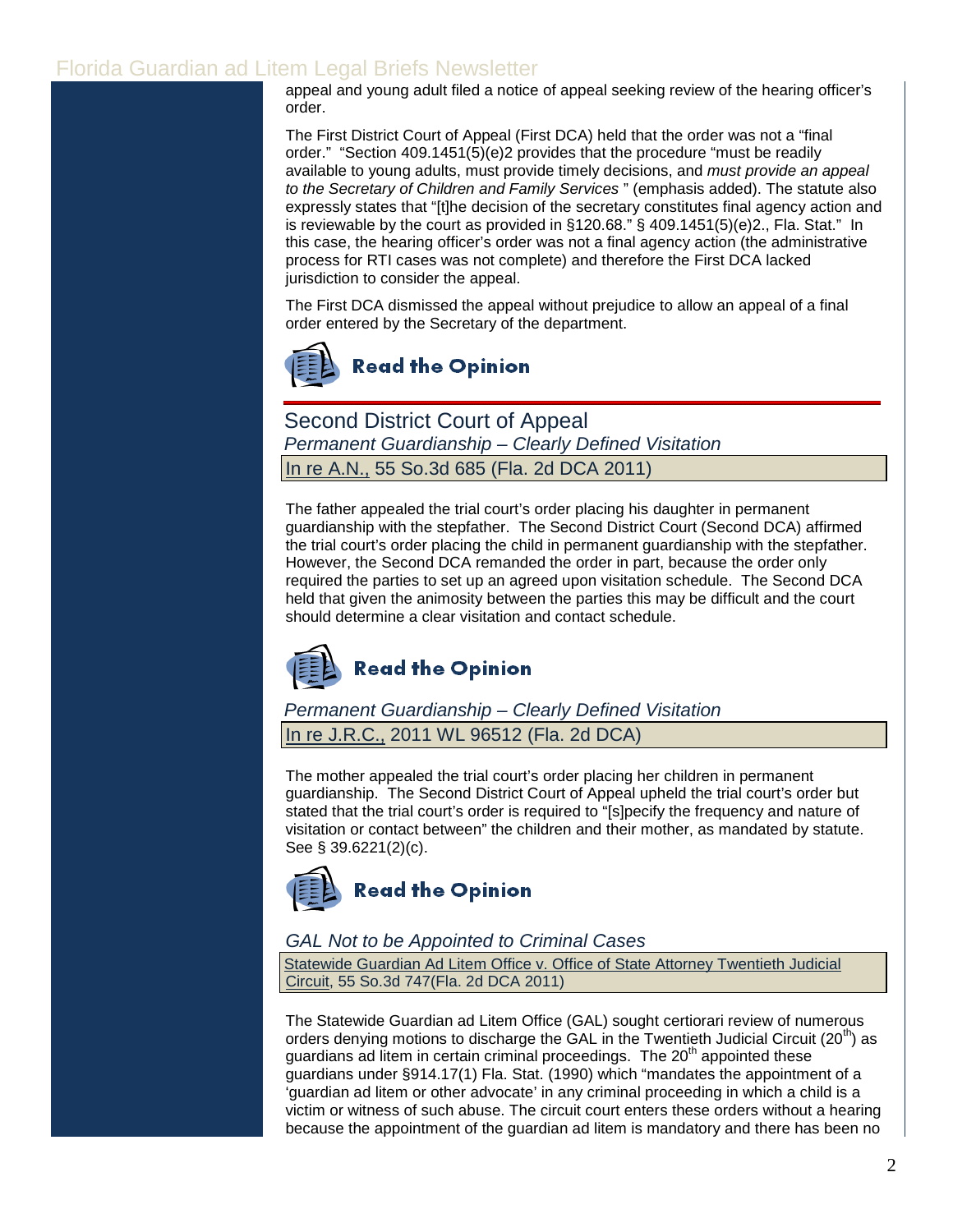appeal and young adult filed a notice of appeal seeking review of the hearing officer's order.

The First District Court of Appeal (First DCA) held that the order was not a "final order." ["Section 409.1451\(5\)\(e\)2](http://www.leg.state.fl.us/Statutes/index.cfm?App_mode=Display_Statute&Search_String=&URL=0400-0499/0409/Sections/0409.1451.html) provides that the procedure "must be readily available to young adults, must provide timely decisions, and *must provide an appeal to the Secretary of Children and Family Services* " (emphasis added). The statute also expressly states that "[t]he decision of the secretary constitutes final agency action and is reviewable by the court as provided in [§120.68."](http://www.leg.state.fl.us/Statutes/index.cfm?App_mode=Display_Statute&Search_String=&URL=0100-0199/0120/Sections/0120.68.html) [§ 409.1451\(5\)\(e\)2.,](http://www.leg.state.fl.us/Statutes/index.cfm?App_mode=Display_Statute&Search_String=&URL=0400-0499/0409/Sections/0409.1451.html) Fla. Stat." In this case, the hearing officer's order was not a final agency action (the administrative process for RTI cases was not complete) and therefore the First DCA lacked jurisdiction to consider the appeal.

The First DCA dismissed the appeal without prejudice to allow an appeal of a final order entered by the Secretary of the department.



Second District Court of Appeal *Permanent Guardianship – Clearly Defined Visitation* In re A.N., 55 So.3d 685 (Fla. 2d DCA 2011)

The father appealed the trial court's order placing his daughter in permanent guardianship with the stepfather. The Second District Court (Second DCA) affirmed the trial court's order placing the child in permanent guardianship with the stepfather. However, the Second DCA remanded the order in part, because the order only required the parties to set up an agreed upon visitation schedule. The Second DCA held that given the animosity between the parties this may be difficult and the court should determine a clear visitation and contact schedule.



*Permanent Guardianship – Clearly Defined Visitation* In re J.R.C., 2011 WL 96512 (Fla. 2d DCA)

The mother appealed the trial court's order placing her children in permanent guardianship. The Second District Court of Appeal upheld the trial court's order but stated that the trial court's order is required to "[s]pecify the frequency and nature of visitation or contact between" the children and their mother, as mandated by statute. See [§ 39.6221](http://web2.westlaw.com/find/default.wl?tf=-1&rs=WLW11.04&fn=_top&sv=Split&docname=FLSTS39.6221&tc=-1&pbc=ADD12F31&ordoc=2024358366&findtype=L&db=1000006&vr=2.0&rp=%2ffind%2fdefault.wl&mt=Westlaw)[\(2\)\(c\).](http://www.leg.state.fl.us/Statutes/index.cfm?App_mode=Display_Statute&Search_String=&URL=0000-0099/0039/Sections/0039.6221.html)



## *GAL Not to be Appointed to Criminal Cases*

Statewide Guardian Ad Litem Office v. Office of State Attorney Twentieth Judicial Circuit, 55 So.3d 747(Fla. 2d DCA 2011)

The Statewide Guardian ad Litem Office (GAL) sought certiorari review of numerous orders denying motions to discharge the GAL in the Twentieth Judicial Circuit (20<sup>th</sup>) as guardians ad litem in certain criminal proceedings. The  $20<sup>th</sup>$  appointed these guardians under §914.17(1) Fla. Stat. (1990) which "mandates the appointment of a 'guardian ad litem or other advocate' in any criminal proceeding in which a child is a victim or witness of such abuse. The circuit court enters these orders without a hearing because the appointment of the guardian ad litem is mandatory and there has been no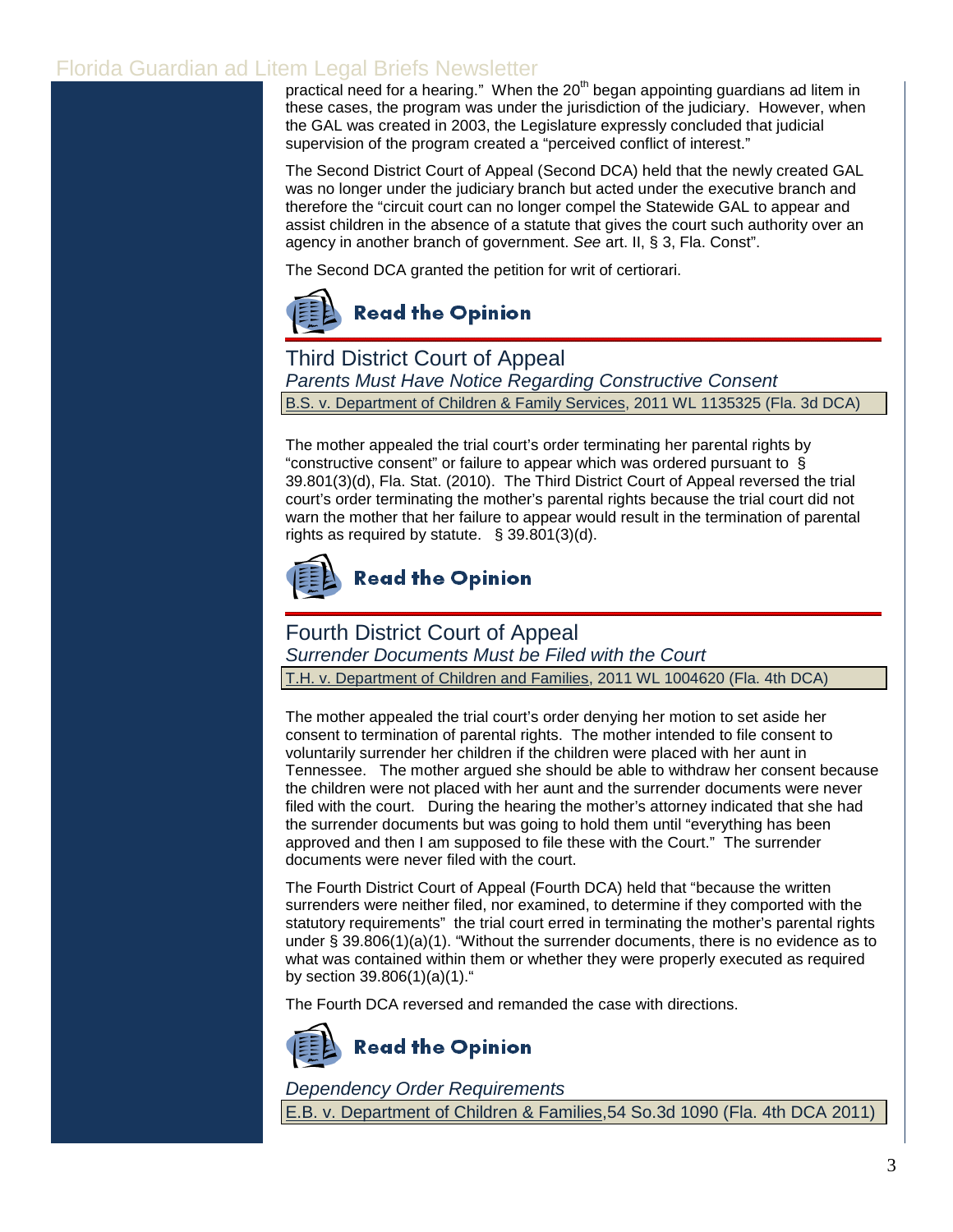practical need for a hearing." When the  $20<sup>th</sup>$  began appointing guardians ad litem in these cases, the program was under the jurisdiction of the judiciary. However, when the GAL was created in 2003, the Legislature expressly concluded that judicial supervision of the program created a "perceived conflict of interest."

The Second District Court of Appeal (Second DCA) held that the newly created GAL was no longer under the judiciary branch but acted under the executive branch and therefore the "circuit court can no longer compel the Statewide GAL to appear and assist children in the absence of a statute that gives the court such authority over an agency in another branch of government. *See* art. II, § 3, Fla. Const".

The Second DCA granted the petition for writ of certiorari.



Third District Court of Appeal *Parents Must Have Notice Regarding Constructive Consent* B.S. v. Department of Children & Family Services, 2011 WL 1135325 (Fla. 3d DCA)

The mother appealed the trial court's order terminating her parental rights by "constructive consent" or failure to appear which was ordered pursuant to § [39.801\(3\)\(d\), Fla. Stat. \(2010\).](http://www.leg.state.fl.us/Statutes/index.cfm?App_mode=Display_Statute&Search_String=&URL=0000-0099/0039/Sections/0039.801.html) The Third District Court of Appeal reversed the trial court's order terminating the mother's parental rights because the trial court did not warn the mother that her failure to appear would result in the termination of parental rights as required by statute. [§ 39.801\(3\)\(d\).](http://www.leg.state.fl.us/Statutes/index.cfm?App_mode=Display_Statute&Search_String=&URL=0000-0099/0039/Sections/0039.801.html)



# **Read the Opinion**

# Fourth District Court of Appeal

*Surrender Documents Must be Filed with the Court*

T.H. v. Department of Children and Families, 2011 WL 1004620 (Fla. 4th DCA)

The mother appealed the trial court's order denying her motion to set aside her consent to termination of parental rights. The mother intended to file consent to voluntarily surrender her children if the children were placed with her aunt in Tennessee. The mother argued she should be able to withdraw her consent because the children were not placed with her aunt and the surrender documents were never filed with the court. During the hearing the mother's attorney indicated that she had the surrender documents but was going to hold them until "everything has been approved and then I am supposed to file these with the Court." The surrender documents were never filed with the court.

The Fourth District Court of Appeal (Fourth DCA) held that "because the written surrenders were neither filed, nor examined, to determine if they comported with the statutory requirements" the trial court erred in terminating the mother's parental rights under [§ 39.806\(1\)\(a\)\(1\).](http://www.leg.state.fl.us/Statutes/index.cfm?App_mode=Display_Statute&Search_String=&URL=0000-0099/0039/Sections/0039.806.html) "Without the surrender documents, there is no evidence as to what was contained within them or whether they were properly executed as required b[y](http://www.leg.state.fl.us/Statutes/index.cfm?App_mode=Display_Statute&Search_String=&URL=0000-0099/0039/Sections/0039.806.html) [section 39.806](http://web2.westlaw.com/find/default.wl?tf=-1&rs=WLW11.04&fn=_top&sv=Split&docname=FLSTS39.806&tc=-1&pbc=C396D961&ordoc=2024844834&findtype=L&db=1000006&vr=2.0&rp=%2ffind%2fdefault.wl&mt=Westlaw)[\(1\)\(a\)\(1\)."](http://www.leg.state.fl.us/Statutes/index.cfm?App_mode=Display_Statute&Search_String=&URL=0000-0099/0039/Sections/0039.806.html)

The Fourth DCA reversed and remanded the case with directions.



*Dependency Order Requirements* E.B. v. Department of Children & Families,54 So.3d 1090 (Fla. 4th DCA 2011)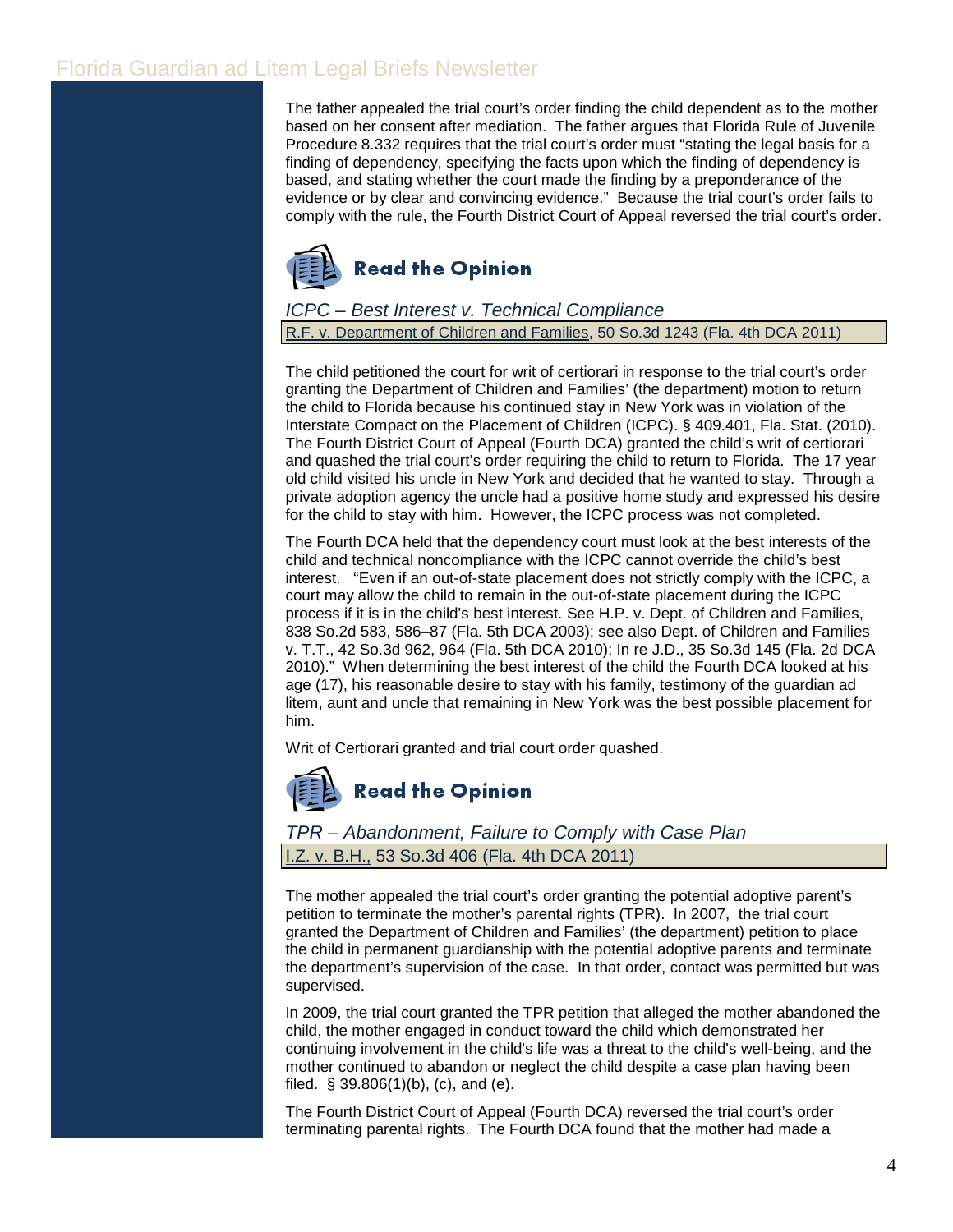The father appealed the trial court's order finding the child dependent as to the mother based on her consent after mediation. The father argues that Florida [Rule of Juvenile](http://www.floridabar.org/TFB/TFBResources.nsf/Attachments/E2AD7DEF01F6F90685256B29004BFA7E/$FILE/Juvenile.pdf?OpenElement)  [Procedure 8.332](http://web2.westlaw.com/find/default.wl?tf=-1&rs=WLW11.04&fn=_top&sv=Split&docname=FLSTJUVPR8.332&tc=-1&pbc=32D9238D&ordoc=2024749139&findtype=L&db=1000006&vr=2.0&rp=%2ffind%2fdefault.wl&mt=Westlaw) requires that the trial court's order must "stating the legal basis for a finding of dependency, specifying the facts upon which the finding of dependency is based, and stating whether the court made the finding by a preponderance of the evidence or by clear and convincing evidence." Because the trial court's order fails to comply with the rule, the Fourth District Court of Appeal reversed the trial court's order.



## *ICPC – Best Interest v. Technical Compliance*

R.F. v. Department of Children and Families, 50 So.3d 1243 (Fla. 4th DCA 2011)

The child petitioned the court for writ of certiorari in response to the trial court's order granting the Department of Children and Families' (the department) motion to return the child to Florida because his continued stay in New York was in violation of the Interstate Compact on the Placement of Children (ICPC)[. § 409.401, Fla. Stat. \(2010\).](http://www.leg.state.fl.us/Statutes/index.cfm?App_mode=Display_Statute&Search_String=&URL=0400-0499/0409/Sections/0409.401.html)  The Fourth District Court of Appeal (Fourth DCA) granted the child's writ of certiorari and quashed the trial court's order requiring the child to return to Florida. The 17 year old child visited his uncle in New York and decided that he wanted to stay. Through a private adoption agency the uncle had a positive home study and expressed his desire for the child to stay with him. However, the ICPC process was not completed.

The Fourth DCA held that the dependency court must look at the best interests of the child and technical noncompliance with the ICPC cannot override the child's best interest. "Even if an out-of-state placement does not strictly comply with the ICPC, a court may allow the child to remain in the out-of-state placement during the ICPC process if it is in the child's best interest. See [H.P. v. Dept. of Children and Families,](http://web2.westlaw.com/find/default.wl?tf=-1&rs=WLW11.04&referencepositiontype=S&serialnum=2003072368&fn=_top&sv=Split&referenceposition=586&pbc=FD83FD24&tc=-1&ordoc=2024464399&findtype=Y&db=735&vr=2.0&rp=%2ffind%2fdefault.wl&mt=Westlaw) [838 So.2d 583, 586–87 \(Fla. 5th DCA 2003\);](http://web2.westlaw.com/find/default.wl?tf=-1&rs=WLW11.04&referencepositiontype=S&serialnum=2003072368&fn=_top&sv=Split&referenceposition=586&pbc=FD83FD24&tc=-1&ordoc=2024464399&findtype=Y&db=735&vr=2.0&rp=%2ffind%2fdefault.wl&mt=Westlaw) see also [Dept. of Children and Families](http://web2.westlaw.com/find/default.wl?tf=-1&rs=WLW11.04&referencepositiontype=S&serialnum=2022916834&fn=_top&sv=Split&referenceposition=964&pbc=FD83FD24&tc=-1&ordoc=2024464399&findtype=Y&db=3926&vr=2.0&rp=%2ffind%2fdefault.wl&mt=Westlaw)  v. T.T., [42 So.3d 962, 964 \(Fla. 5th DCA 2010\);](http://web2.westlaw.com/find/default.wl?tf=-1&rs=WLW11.04&referencepositiontype=S&serialnum=2022916834&fn=_top&sv=Split&referenceposition=964&pbc=FD83FD24&tc=-1&ordoc=2024464399&findtype=Y&db=3926&vr=2.0&rp=%2ffind%2fdefault.wl&mt=Westlaw) In re J.D., [35 So.3d 145 \(Fla. 2d DCA](http://web2.westlaw.com/find/default.wl?tf=-1&rs=WLW11.04&serialnum=2022148316&fn=_top&sv=Split&tc=-1&pbc=FD83FD24&ordoc=2024464399&findtype=Y&db=3926&vr=2.0&rp=%2ffind%2fdefault.wl&mt=Westlaw)  [2010\).](http://web2.westlaw.com/find/default.wl?tf=-1&rs=WLW11.04&serialnum=2022148316&fn=_top&sv=Split&tc=-1&pbc=FD83FD24&ordoc=2024464399&findtype=Y&db=3926&vr=2.0&rp=%2ffind%2fdefault.wl&mt=Westlaw)" When determining the best interest of the child the Fourth DCA looked at his age (17), his reasonable desire to stay with his family, testimony of the guardian ad litem, aunt and uncle that remaining in New York was the best possible placement for him.

Writ of Certiorari granted and trial court order quashed.



## *TPR – Abandonment, Failure to Comply with Case Plan* v. B.H., 53 So.3d 406 (Fla. 4th DCA 2011)

The mother appealed the trial court's order granting the potential adoptive parent's petition to terminate the mother's parental rights (TPR). In 2007, the trial court granted the Department of Children and Families' (the department) petition to place the child in permanent guardianship with the potential adoptive parents and terminate the department's supervision of the case. In that order, contact was permitted but was supervised.

In 2009, the trial court granted the TPR petition that alleged the mother abandoned the child, the mother engaged in conduct toward the child which demonstrated her continuing involvement in the child's life was a threat to the child's well-being, and the mother continued to abandon or neglect the child despite a case plan having been filed.  $\S 39.806(1)(b)$ , (c), and (e).

The Fourth District Court of Appeal (Fourth DCA) reversed the trial court's order terminating parental rights. The Fourth DCA found that the mother had made a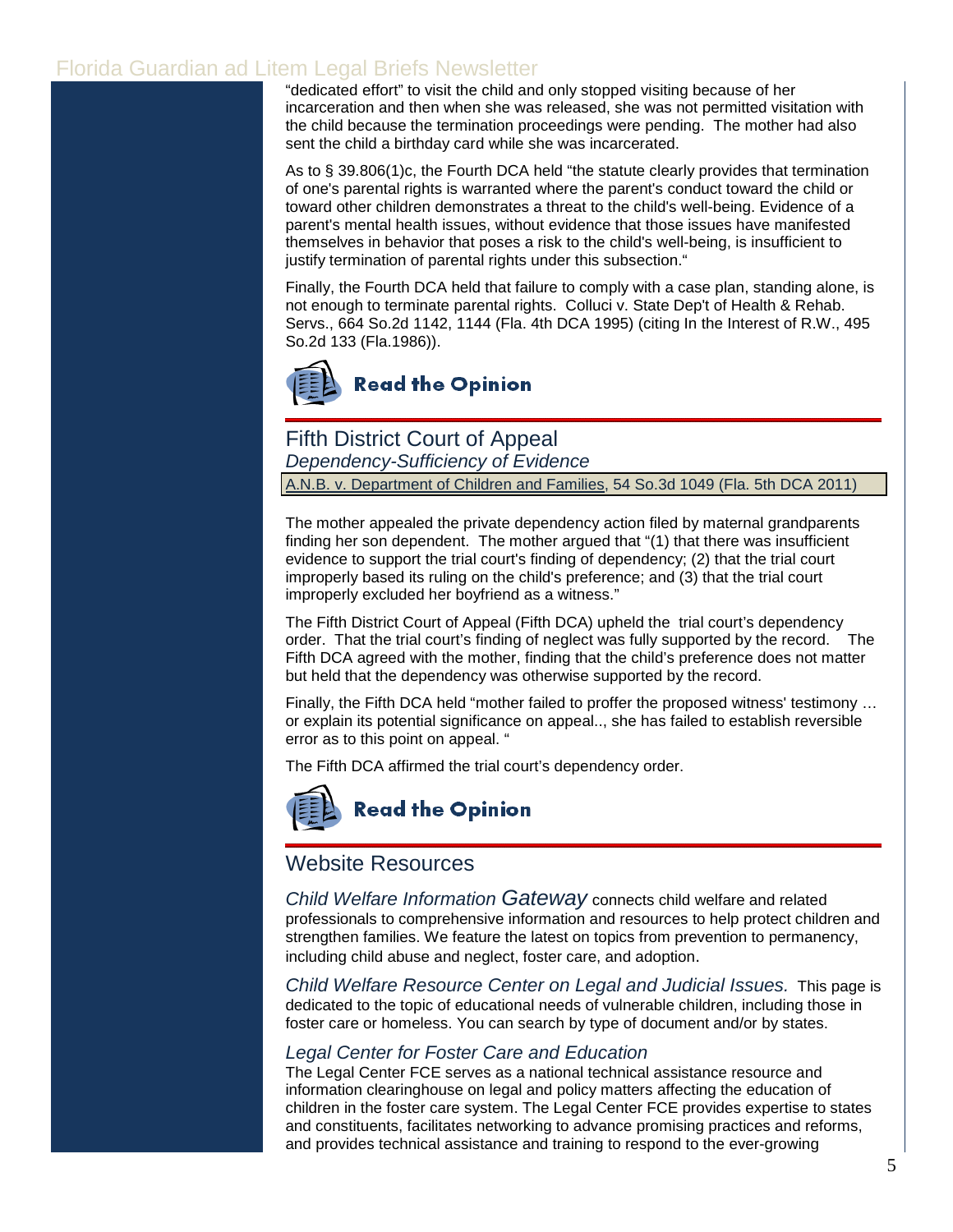"dedicated effort" to visit the child and only stopped visiting because of her incarceration and then when she was released, she was not permitted visitation with the child because the termination proceedings were pending. The mother had also sent the child a birthday card while she was incarcerated.

As to § [39.806\(1\)c,](http://www.leg.state.fl.us/Statutes/index.cfm?App_mode=Display_Statute&Search_String=&URL=0000-0099/0039/Sections/0039.806.html) the Fourth DCA held "the statute clearly provides that termination of one's parental rights is warranted where the parent's conduct toward the child or toward other children demonstrates a threat to the child's well-being. Evidence of a parent's mental health issues, without evidence that those issues have manifested themselves in behavior that poses a risk to the child's well-being, is insufficient to justify termination of parental rights under this subsection."

Finally, the Fourth DCA held that failure to comply with a case plan, standing alone, is not enough to terminate parental rights. [Colluci v. State Dep't of Health & Rehab.](http://web2.westlaw.com/find/default.wl?tf=-1&rs=WLW11.04&referencepositiontype=S&serialnum=1995248555&fn=_top&sv=Split&referenceposition=1144&pbc=D9AADD6E&tc=-1&ordoc=2024594827&findtype=Y&db=735&vr=2.0&rp=%2ffind%2fdefault.wl&mt=Westlaw)  Servs., 664 So.2d [1142, 1144 \(Fla. 4th DCA 1995\)](http://web2.westlaw.com/find/default.wl?tf=-1&rs=WLW11.04&referencepositiontype=S&serialnum=1995248555&fn=_top&sv=Split&referenceposition=1144&pbc=D9AADD6E&tc=-1&ordoc=2024594827&findtype=Y&db=735&vr=2.0&rp=%2ffind%2fdefault.wl&mt=Westlaw) (citing [In the Interest of R.W.,](http://web2.westlaw.com/find/default.wl?tf=-1&rs=WLW11.04&serialnum=1986143655&fn=_top&sv=Split&tc=-1&pbc=D9AADD6E&ordoc=2024594827&findtype=Y&db=735&vr=2.0&rp=%2ffind%2fdefault.wl&mt=Westlaw) 495 [So.2d 133 \(Fla.1986\)\)](http://web2.westlaw.com/find/default.wl?tf=-1&rs=WLW11.04&serialnum=1986143655&fn=_top&sv=Split&tc=-1&pbc=D9AADD6E&ordoc=2024594827&findtype=Y&db=735&vr=2.0&rp=%2ffind%2fdefault.wl&mt=Westlaw).



Fifth District Court of Appeal *Dependency-Sufficiency of Evidence* A.N.B. v. Department of Children and Families, 54 So.3d 1049 (Fla. 5th DCA 2011)

The mother appealed the private dependency action filed by maternal grandparents finding her son dependent. The mother argued that "(1) that there was insufficient evidence to support the trial court's finding of dependency; (2) that the trial court improperly based its ruling on the child's preference; and (3) that the trial court improperly excluded her boyfriend as a witness."

The Fifth District Court of Appeal (Fifth DCA) upheld the trial court's dependency order. That the trial court's finding of neglect was fully supported by the record. The Fifth DCA agreed with the mother, finding that the child's preference does not matter but held that the dependency was otherwise supported by the record.

Finally, the Fifth DCA held "mother failed to proffer the proposed witness' testimony … or explain its potential significance on appeal.., she has failed to establish reversible error as to this point on appeal. "

The Fifth DCA affirmed the trial court's dependency order.



# **Read the Opinion**

## Website Resources

*[Child Welfare Information Gateway](http://www.childwelfare.gov/)* connects child welfare and related professionals to comprehensive information and resources to help protect children and strengthen families. We feature the latest on topics from prevention to permanency, including child abuse and neglect, foster care, and adoption.

*[Child Welfare Resource Center on Legal and Judicial Issues.](http://www.abanet.org/child/rclji/education/home.html)* This page is dedicated to the topic of educational needs of vulnerable children, including those in foster care or homeless. You can search by type of document and/or by states.

## *[Legal Center for Foster Care and Education](http://www.abanet.org/child/education/home.shtml)*

The Legal Center FCE serves as a national technical assistance resource and information clearinghouse on legal and policy matters affecting the education of children in the foster care system. The Legal Center FCE provides expertise to states and constituents, facilitates networking to advance promising practices and reforms, and provides technical assistance and training to respond to the ever-growing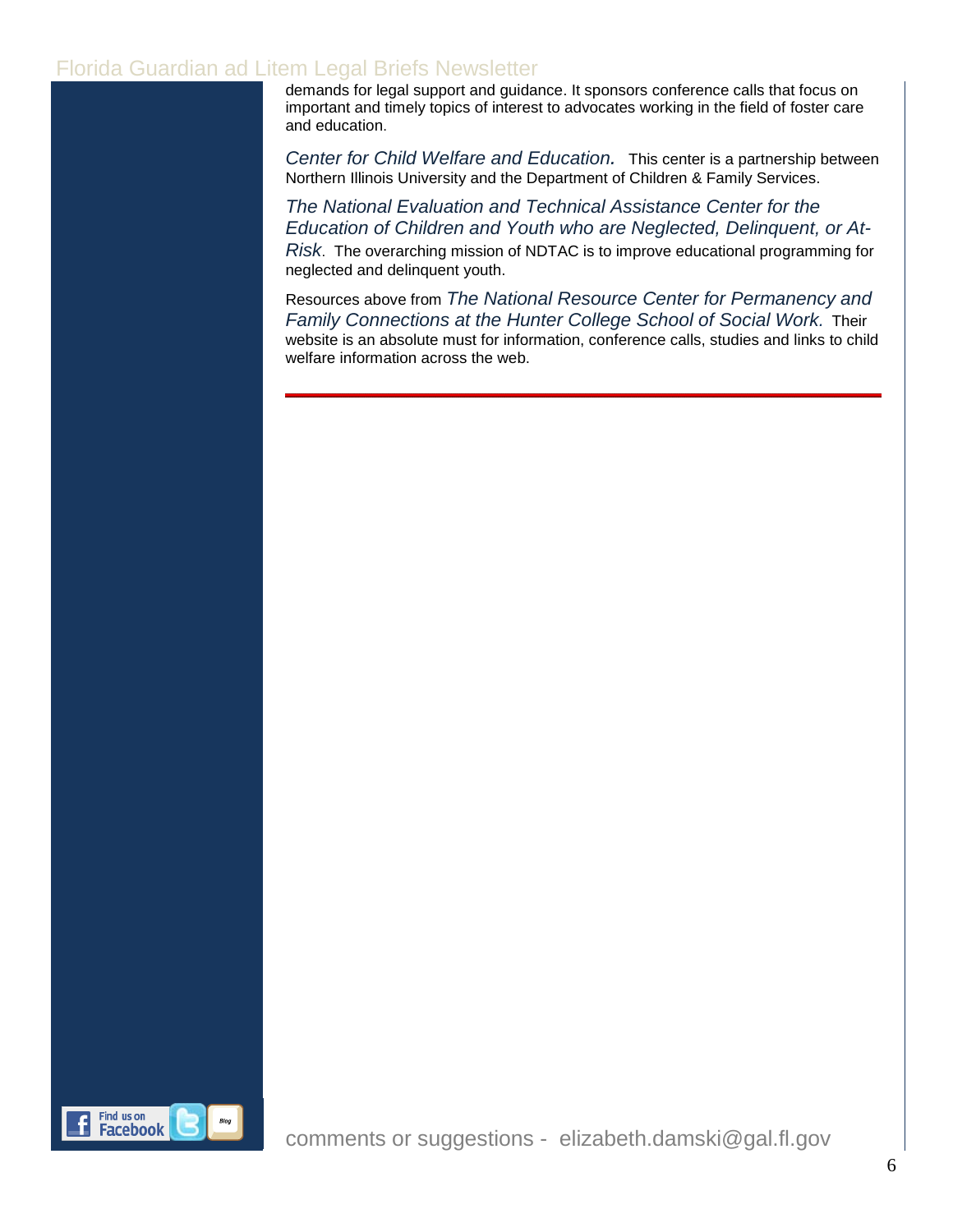demands for legal support and guidance. It sponsors [conference calls](http://www.abanet.org/child/education/conference.shtml) that focus on important and timely topics of interest to advocates working in the field of foster care and education.

*[Center for Child Welfare and Education.](http://www.cedu.niu.edu/ccwe/)* This center is a partnership between Northern Illinois University and the Department of Children & Family Services.

*[The National Evaluation and Technical Assistance Center for the](http://www.neglected-delinquent.org/nd/resources/library/neglected.asp)  [Education of Children and Youth who are Neglected, Delinquent, or At-](http://www.neglected-delinquent.org/nd/resources/library/neglected.asp)[Risk](http://www.neglected-delinquent.org/nd/resources/library/neglected.asp)*. The overarching mission of NDTAC is to improve educational programming for neglected and delinquent youth.

Resources above from *The [National Resource Center for Permanency and](http://www.hunter.cuny.edu/socwork/nrcfcpp/hottopics.html)  [Family Connections at the Hunter College School of Social Work.](http://www.hunter.cuny.edu/socwork/nrcfcpp/hottopics.html)* Their website is an absolute must for information, conference calls, studies and links to child welfare information across the web.



comments or suggestions - elizabeth.damski@gal.fl.gov